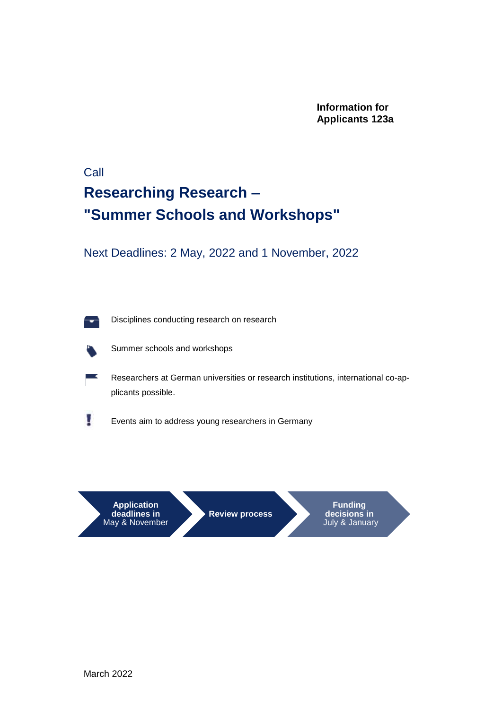**Information for Applicants 123a**

### Call **Researching Research – "Summer Schools and Workshops"**

Next Deadlines: 2 May, 2022 and 1 November, 2022

Disciplines conducting research on research



U

Summer schools and workshops

Researchers at German universities or research institutions, international co-applicants possible.

Events aim to address young researchers in Germany

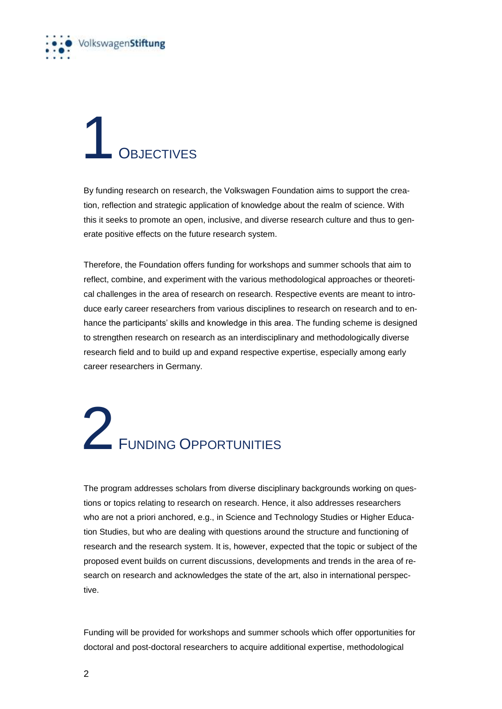

### **OBJECTIVES**

By funding research on research, the Volkswagen Foundation aims to support the creation, reflection and strategic application of knowledge about the realm of science. With this it seeks to promote an open, inclusive, and diverse research culture and thus to generate positive effects on the future research system.

Therefore, the Foundation offers funding for workshops and summer schools that aim to reflect, combine, and experiment with the various methodological approaches or theoretical challenges in the area of research on research. Respective events are meant to introduce early career researchers from various disciplines to research on research and to enhance the participants' skills and knowledge in this area. The funding scheme is designed to strengthen research on research as an interdisciplinary and methodologically diverse research field and to build up and expand respective expertise, especially among early career researchers in Germany.

# 2 FUNDING OPPORTUNITIES

The program addresses scholars from diverse disciplinary backgrounds working on questions or topics relating to research on research. Hence, it also addresses researchers who are not a priori anchored, e.g., in Science and Technology Studies or Higher Education Studies, but who are dealing with questions around the structure and functioning of research and the research system. It is, however, expected that the topic or subject of the proposed event builds on current discussions, developments and trends in the area of research on research and acknowledges the state of the art, also in international perspective.

Funding will be provided for workshops and summer schools which offer opportunities for doctoral and post-doctoral researchers to acquire additional expertise, methodological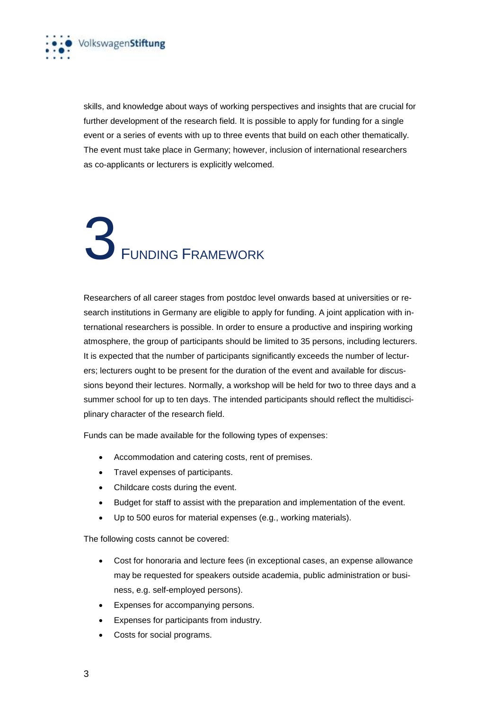

skills, and knowledge about ways of working perspectives and insights that are crucial for further development of the research field. It is possible to apply for funding for a single event or a series of events with up to three events that build on each other thematically. The event must take place in Germany; however, inclusion of international researchers as co-applicants or lecturers is explicitly welcomed.

## 3 <sup>F</sup>UNDING FRAMEWORK

Researchers of all career stages from postdoc level onwards based at universities or research institutions in Germany are eligible to apply for funding. A joint application with international researchers is possible. In order to ensure a productive and inspiring working atmosphere, the group of participants should be limited to 35 persons, including lecturers. It is expected that the number of participants significantly exceeds the number of lecturers; lecturers ought to be present for the duration of the event and available for discussions beyond their lectures. Normally, a workshop will be held for two to three days and a summer school for up to ten days. The intended participants should reflect the multidisciplinary character of the research field.

Funds can be made available for the following types of expenses:

- Accommodation and catering costs, rent of premises.
- Travel expenses of participants.
- Childcare costs during the event.
- Budget for staff to assist with the preparation and implementation of the event.
- Up to 500 euros for material expenses (e.g., working materials).

The following costs cannot be covered:

- Cost for honoraria and lecture fees (in exceptional cases, an expense allowance may be requested for speakers outside academia, public administration or business, e.g. self-employed persons).
- Expenses for accompanying persons.
- Expenses for participants from industry.
- Costs for social programs.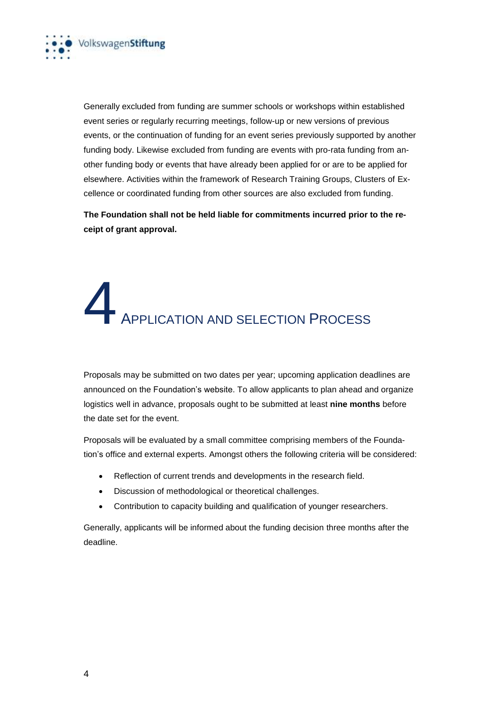

Generally excluded from funding are summer schools or workshops within established event series or regularly recurring meetings, follow-up or new versions of previous events, or the continuation of funding for an event series previously supported by another funding body. Likewise excluded from funding are events with pro-rata funding from another funding body or events that have already been applied for or are to be applied for elsewhere. Activities within the framework of Research Training Groups, Clusters of Excellence or coordinated funding from other sources are also excluded from funding.

**The Foundation shall not be held liable for commitments incurred prior to the receipt of grant approval.**

### APPLICATION AND SELECTION PROCESS

Proposals may be submitted on two dates per year; upcoming application deadlines are announced on the Foundation's website. To allow applicants to plan ahead and organize logistics well in advance, proposals ought to be submitted at least **nine months** before the date set for the event.

Proposals will be evaluated by a small committee comprising members of the Foundation's office and external experts. Amongst others the following criteria will be considered:

- Reflection of current trends and developments in the research field.
- Discussion of methodological or theoretical challenges.
- Contribution to capacity building and qualification of younger researchers.

Generally, applicants will be informed about the funding decision three months after the deadline.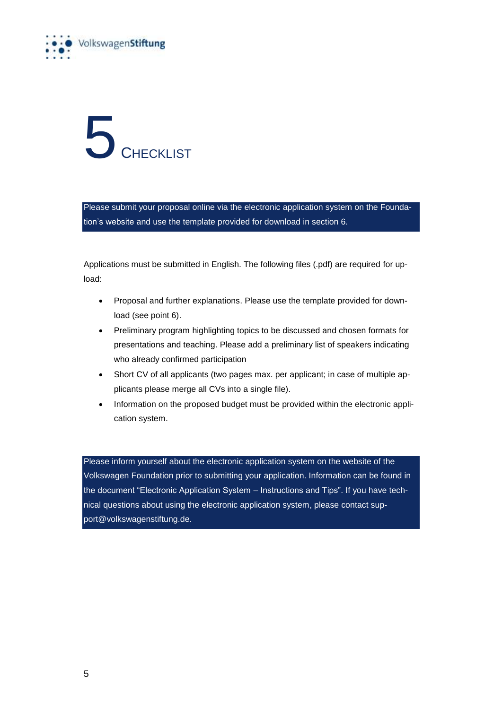



Please submit your proposal online via the electronic application system on the Foundation's website and use the template provided for download in section 6.

Applications must be submitted in English. The following files (.pdf) are required for upload:

- Proposal and further explanations. Please use the template provided for download (see point 6).
- Preliminary program highlighting topics to be discussed and chosen formats for presentations and teaching. Please add a preliminary list of speakers indicating who already confirmed participation
- Short CV of all applicants (two pages max. per applicant; in case of multiple applicants please merge all CVs into a single file).
- Information on the proposed budget must be provided within the electronic application system.

Please inform yourself about the electronic application system on the website of the Volkswagen Foundation prior to submitting your application. Information can be found in the document "Electronic Application System – Instructions and Tips". If you have technical questions about using the electronic application system, please contact support@volkswagenstiftung.de.